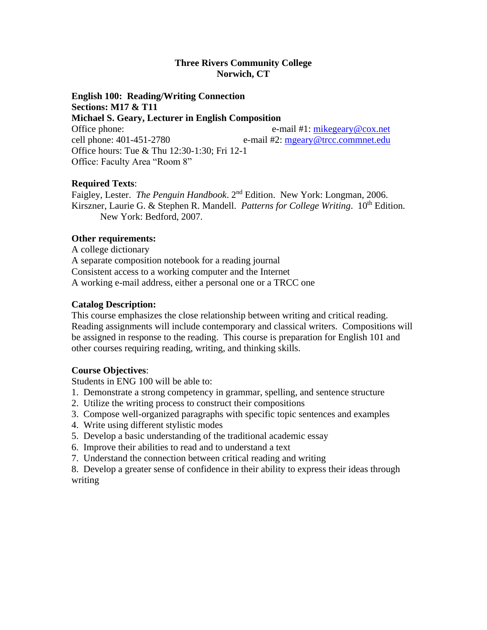### **Three Rivers Community College Norwich, CT**

**English 100: Reading/Writing Connection Sections: M17 & T11 Michael S. Geary, Lecturer in English Composition** Office phone: e-mail #1: [mikegeary@cox.net](mailto:mikegeary@cox.net) cell phone: 401-451-2780 e-mail #2: [mgeary@trcc.commnet.edu](mailto:Mgeary@trcc.commnet.edu) Office hours: Tue & Thu 12:30-1:30; Fri 12-1 Office: Faculty Area "Room 8"

# **Required Texts**:

Faigley, Lester. *The Penguin Handbook*. 2nd Edition. New York: Longman, 2006. Kirszner, Laurie G. & Stephen R. Mandell. *Patterns for College Writing*. 10<sup>th</sup> Edition. New York: Bedford, 2007.

### **Other requirements:**

A college dictionary A separate composition notebook for a reading journal Consistent access to a working computer and the Internet A working e-mail address, either a personal one or a TRCC one

## **Catalog Description:**

This course emphasizes the close relationship between writing and critical reading. Reading assignments will include contemporary and classical writers. Compositions will be assigned in response to the reading. This course is preparation for English 101 and other courses requiring reading, writing, and thinking skills.

# **Course Objectives**:

Students in ENG 100 will be able to:

- 1. Demonstrate a strong competency in grammar, spelling, and sentence structure
- 2. Utilize the writing process to construct their compositions
- 3. Compose well-organized paragraphs with specific topic sentences and examples
- 4. Write using different stylistic modes
- 5. Develop a basic understanding of the traditional academic essay
- 6. Improve their abilities to read and to understand a text
- 7. Understand the connection between critical reading and writing
- 8. Develop a greater sense of confidence in their ability to express their ideas through writing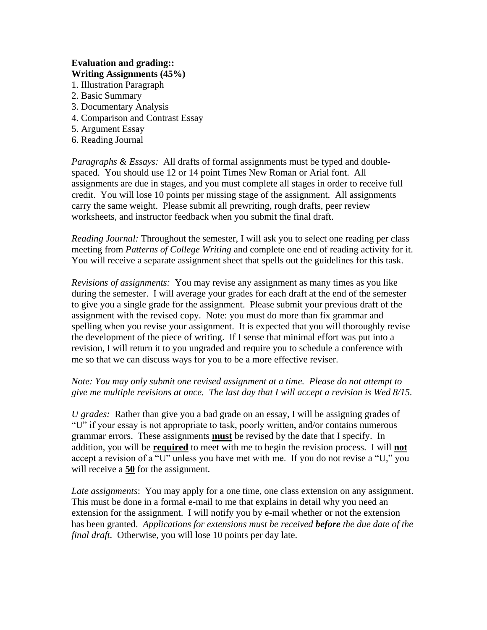## **Evaluation and grading:: Writing Assignments (45%)**

- 1. Illustration Paragraph
- 2. Basic Summary
- 3. Documentary Analysis
- 4. Comparison and Contrast Essay
- 5. Argument Essay
- 6. Reading Journal

*Paragraphs & Essays:* All drafts of formal assignments must be typed and doublespaced. You should use 12 or 14 point Times New Roman or Arial font. All assignments are due in stages, and you must complete all stages in order to receive full credit. You will lose 10 points per missing stage of the assignment. All assignments carry the same weight. Please submit all prewriting, rough drafts, peer review worksheets, and instructor feedback when you submit the final draft.

*Reading Journal:* Throughout the semester, I will ask you to select one reading per class meeting from *Patterns of College Writing* and complete one end of reading activity for it. You will receive a separate assignment sheet that spells out the guidelines for this task.

*Revisions of assignments:* You may revise any assignment as many times as you like during the semester. I will average your grades for each draft at the end of the semester to give you a single grade for the assignment. Please submit your previous draft of the assignment with the revised copy. Note: you must do more than fix grammar and spelling when you revise your assignment. It is expected that you will thoroughly revise the development of the piece of writing. If I sense that minimal effort was put into a revision, I will return it to you ungraded and require you to schedule a conference with me so that we can discuss ways for you to be a more effective reviser.

## *Note: You may only submit one revised assignment at a time. Please do not attempt to give me multiple revisions at once. The last day that I will accept a revision is Wed 8/15.*

*U grades:* Rather than give you a bad grade on an essay, I will be assigning grades of "U" if your essay is not appropriate to task, poorly written, and/or contains numerous grammar errors. These assignments **must** be revised by the date that I specify. In addition, you will be **required** to meet with me to begin the revision process. I will **not** accept a revision of a "U" unless you have met with me. If you do not revise a "U," you will receive a **50** for the assignment.

*Late assignments*: You may apply for a one time, one class extension on any assignment. This must be done in a formal e-mail to me that explains in detail why you need an extension for the assignment. I will notify you by e-mail whether or not the extension has been granted. *Applications for extensions must be received before the due date of the final draft.* Otherwise, you will lose 10 points per day late.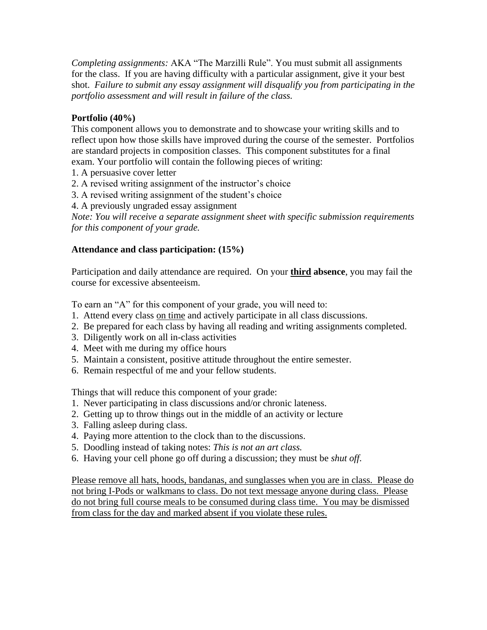*Completing assignments:* AKA "The Marzilli Rule". You must submit all assignments for the class. If you are having difficulty with a particular assignment, give it your best shot. *Failure to submit any essay assignment will disqualify you from participating in the portfolio assessment and will result in failure of the class.*

# **Portfolio (40%)**

This component allows you to demonstrate and to showcase your writing skills and to reflect upon how those skills have improved during the course of the semester. Portfolios are standard projects in composition classes. This component substitutes for a final exam. Your portfolio will contain the following pieces of writing:

- 1. A persuasive cover letter
- 2. A revised writing assignment of the instructor's choice
- 3. A revised writing assignment of the student's choice
- 4. A previously ungraded essay assignment

*Note: You will receive a separate assignment sheet with specific submission requirements for this component of your grade.*

# **Attendance and class participation: (15%)**

Participation and daily attendance are required. On your **third absence**, you may fail the course for excessive absenteeism.

To earn an "A" for this component of your grade, you will need to:

- 1. Attend every class on time and actively participate in all class discussions.
- 2. Be prepared for each class by having all reading and writing assignments completed.
- 3. Diligently work on all in-class activities
- 4. Meet with me during my office hours
- 5. Maintain a consistent, positive attitude throughout the entire semester.
- 6. Remain respectful of me and your fellow students.

Things that will reduce this component of your grade:

- 1. Never participating in class discussions and/or chronic lateness.
- 2. Getting up to throw things out in the middle of an activity or lecture
- 3. Falling asleep during class.
- 4. Paying more attention to the clock than to the discussions.
- 5. Doodling instead of taking notes: *This is not an art class.*
- 6. Having your cell phone go off during a discussion; they must be *shut off*.

Please remove all hats, hoods, bandanas, and sunglasses when you are in class. Please do not bring I-Pods or walkmans to class. Do not text message anyone during class. Please do not bring full course meals to be consumed during class time. You may be dismissed from class for the day and marked absent if you violate these rules.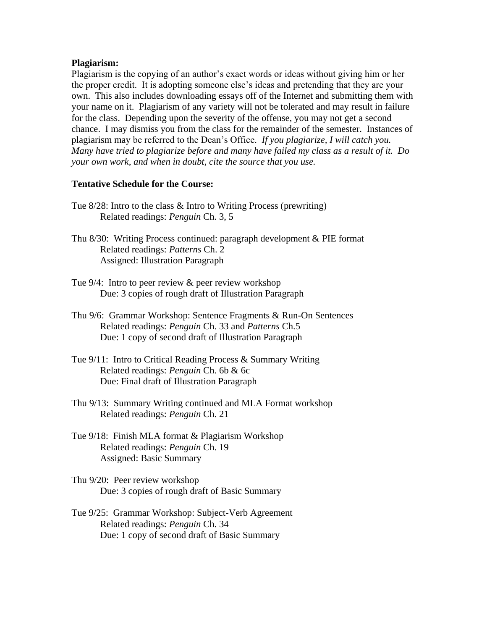#### **Plagiarism:**

Plagiarism is the copying of an author's exact words or ideas without giving him or her the proper credit. It is adopting someone else's ideas and pretending that they are your own. This also includes downloading essays off of the Internet and submitting them with your name on it. Plagiarism of any variety will not be tolerated and may result in failure for the class. Depending upon the severity of the offense, you may not get a second chance. I may dismiss you from the class for the remainder of the semester. Instances of plagiarism may be referred to the Dean's Office. *If you plagiarize, I will catch you. Many have tried to plagiarize before and many have failed my class as a result of it. Do your own work, and when in doubt, cite the source that you use.*

### **Tentative Schedule for the Course:**

- Tue 8/28: Intro to the class & Intro to Writing Process (prewriting) Related readings: *Penguin* Ch. 3, 5
- Thu 8/30: Writing Process continued: paragraph development & PIE format Related readings: *Patterns* Ch. 2 Assigned: Illustration Paragraph
- Tue 9/4: Intro to peer review & peer review workshop Due: 3 copies of rough draft of Illustration Paragraph
- Thu 9/6: Grammar Workshop: Sentence Fragments & Run-On Sentences Related readings: *Penguin* Ch. 33 and *Patterns* Ch.5 Due: 1 copy of second draft of Illustration Paragraph
- Tue 9/11: Intro to Critical Reading Process & Summary Writing Related readings: *Penguin* Ch. 6b & 6c Due: Final draft of Illustration Paragraph
- Thu 9/13: Summary Writing continued and MLA Format workshop Related readings: *Penguin* Ch. 21
- Tue 9/18: Finish MLA format & Plagiarism Workshop Related readings: *Penguin* Ch. 19 Assigned: Basic Summary
- Thu 9/20: Peer review workshop Due: 3 copies of rough draft of Basic Summary
- Tue 9/25: Grammar Workshop: Subject-Verb Agreement Related readings: *Penguin* Ch. 34 Due: 1 copy of second draft of Basic Summary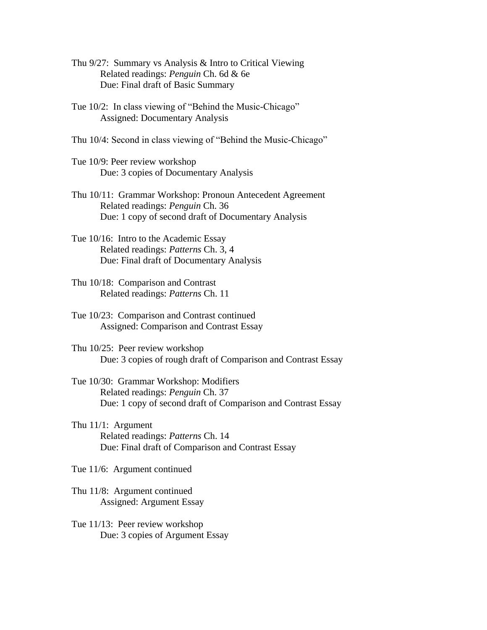- Thu 9/27: Summary vs Analysis & Intro to Critical Viewing Related readings: *Penguin* Ch. 6d & 6e Due: Final draft of Basic Summary
- Tue 10/2: In class viewing of "Behind the Music-Chicago" Assigned: Documentary Analysis
- Thu 10/4: Second in class viewing of "Behind the Music-Chicago"
- Tue 10/9: Peer review workshop Due: 3 copies of Documentary Analysis
- Thu 10/11: Grammar Workshop: Pronoun Antecedent Agreement Related readings: *Penguin* Ch. 36 Due: 1 copy of second draft of Documentary Analysis
- Tue 10/16: Intro to the Academic Essay Related readings: *Patterns* Ch. 3, 4 Due: Final draft of Documentary Analysis
- Thu 10/18: Comparison and Contrast Related readings: *Patterns* Ch. 11
- Tue 10/23: Comparison and Contrast continued Assigned: Comparison and Contrast Essay
- Thu 10/25: Peer review workshop Due: 3 copies of rough draft of Comparison and Contrast Essay
- Tue 10/30: Grammar Workshop: Modifiers Related readings: *Penguin* Ch. 37 Due: 1 copy of second draft of Comparison and Contrast Essay
- Thu 11/1: Argument Related readings: *Patterns* Ch. 14 Due: Final draft of Comparison and Contrast Essay
- Tue 11/6: Argument continued
- Thu 11/8: Argument continued Assigned: Argument Essay
- Tue 11/13: Peer review workshop Due: 3 copies of Argument Essay